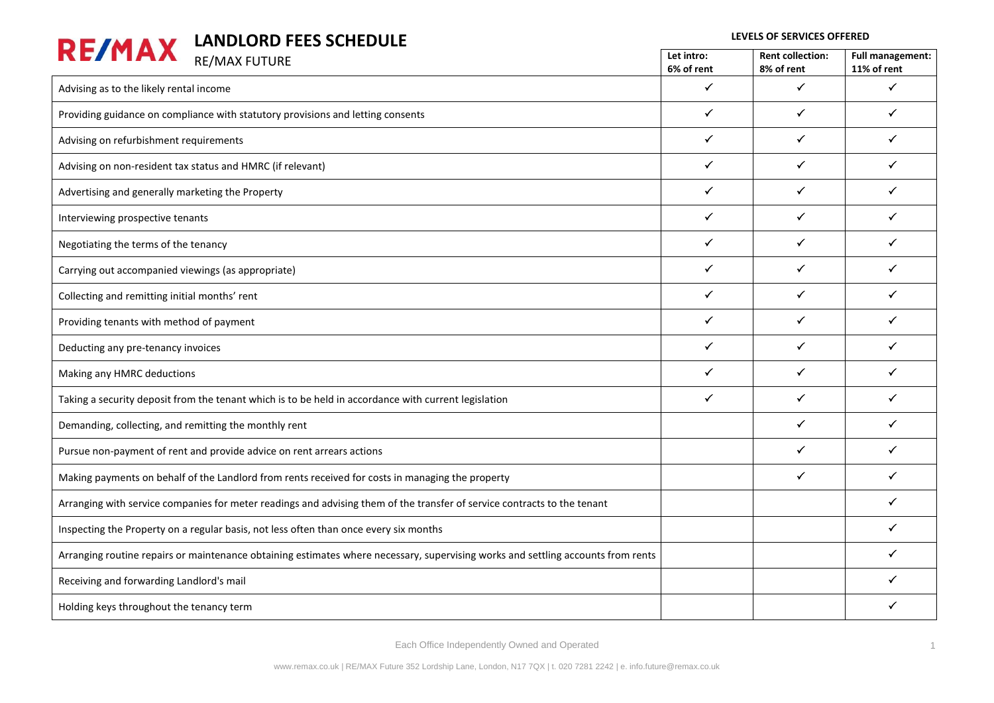# **LANDLORD FEES SCHEDULE**

#### **LEVELS OF SERVICES OFFERED**

| RE/MAX<br>LLJ JUILDUI<br><b>RE/MAX FUTURE</b>                                                                                    | Let intro:<br>6% of rent | <b>Rent collection:</b><br>8% of rent | Full management:<br>11% of rent |
|----------------------------------------------------------------------------------------------------------------------------------|--------------------------|---------------------------------------|---------------------------------|
| Advising as to the likely rental income                                                                                          | $\checkmark$             | $\checkmark$                          | ✓                               |
| Providing guidance on compliance with statutory provisions and letting consents                                                  | $\checkmark$             | ✓                                     | ✓                               |
| Advising on refurbishment requirements                                                                                           | ✓                        | ✓                                     | ✓                               |
| Advising on non-resident tax status and HMRC (if relevant)                                                                       | ✓                        | ✓                                     |                                 |
| Advertising and generally marketing the Property                                                                                 | ✓                        | ✓                                     | ✓                               |
| Interviewing prospective tenants                                                                                                 | ✓                        | ✓                                     | ✓                               |
| Negotiating the terms of the tenancy                                                                                             | ✓                        | ✓                                     |                                 |
| Carrying out accompanied viewings (as appropriate)                                                                               | $\checkmark$             | ✓                                     |                                 |
| Collecting and remitting initial months' rent                                                                                    | $\checkmark$             | ✓                                     | ✓                               |
| Providing tenants with method of payment                                                                                         | $\checkmark$             | $\checkmark$                          | ✓                               |
| Deducting any pre-tenancy invoices                                                                                               | ✓                        | ✓                                     | ✓                               |
| Making any HMRC deductions                                                                                                       | $\checkmark$             | $\checkmark$                          | ✓                               |
| Taking a security deposit from the tenant which is to be held in accordance with current legislation                             | $\checkmark$             | ✓                                     | ✓                               |
| Demanding, collecting, and remitting the monthly rent                                                                            |                          | ✓                                     |                                 |
| Pursue non-payment of rent and provide advice on rent arrears actions                                                            |                          | ✓                                     | ✓                               |
| Making payments on behalf of the Landlord from rents received for costs in managing the property                                 |                          | $\checkmark$                          |                                 |
| Arranging with service companies for meter readings and advising them of the transfer of service contracts to the tenant         |                          |                                       | ✓                               |
| Inspecting the Property on a regular basis, not less often than once every six months                                            |                          |                                       |                                 |
| Arranging routine repairs or maintenance obtaining estimates where necessary, supervising works and settling accounts from rents |                          |                                       |                                 |
| Receiving and forwarding Landlord's mail                                                                                         |                          |                                       |                                 |
| Holding keys throughout the tenancy term                                                                                         |                          |                                       |                                 |

Each Office Independently Owned and Operated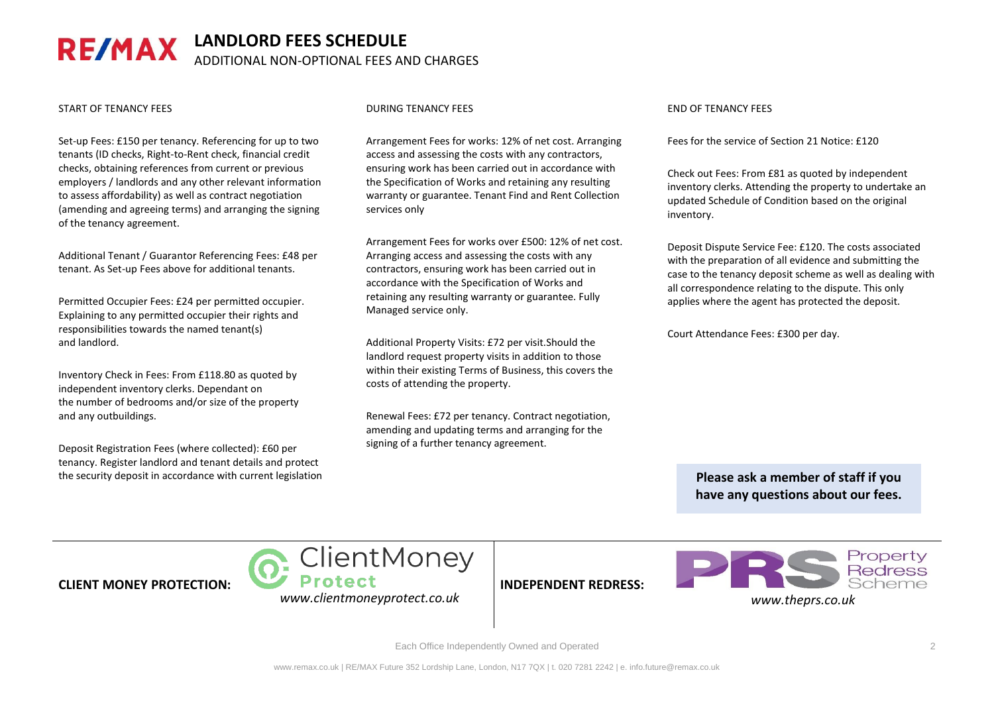## **LANDLORD FEES SCHEDULE RE/MAX** ADDITIONAL NON-OPTIONAL FEES AND CHARGES

## START OF TENANCY FEES

Set-up Fees: £150 per tenancy. Referencing for up to two tenants (ID checks, Right-to-Rent check, financial credit checks, obtaining references from current or previous employers / landlords and any other relevant information to assess affordability) as well as contract negotiation (amending and agreeing terms) and arranging the signing of the tenancy agreement.

Additional Tenant / Guarantor Referencing Fees: £48 per tenant. As Set-up Fees above for additional tenants.

Permitted Occupier Fees: £24 per permitted occupier. Explaining to any permitted occupier their rights and responsibilities towards the named tenant(s) and landlord.

Inventory Check in Fees: From £118.80 as quoted by independent inventory clerks. Dependant on the number of bedrooms and/or size of the property and any outbuildings.

Deposit Registration Fees (where collected): £60 per tenancy. Register landlord and tenant details and protect the security deposit in accordance with current legislation

### DURING TENANCY FEES

Arrangement Fees for works: 12% of net cost. Arranging access and assessing the costs with any contractors, ensuring work has been carried out in accordance with the Specification of Works and retaining any resulting warranty or guarantee. Tenant Find and Rent Collection services only

Arrangement Fees for works over £500: 12% of net cost. Arranging access and assessing the costs with any contractors, ensuring work has been carried out in accordance with the Specification of Works and retaining any resulting warranty or guarantee. Fully Managed service only.

Additional Property Visits: £72 per visit.Should the landlord request property visits in addition to those within their existing Terms of Business, this covers the costs of attending the property.

Renewal Fees: £72 per tenancy. Contract negotiation, amending and updating terms and arranging for the signing of a further tenancy agreement.

## END OF TENANCY FEES

Fees for the service of Section 21 Notice: £120

Check out Fees: From £81 as quoted by independent inventory clerks. Attending the property to undertake an updated Schedule of Condition based on the original inventory.

Deposit Dispute Service Fee: £120. The costs associated with the preparation of all evidence and submitting the case to the tenancy deposit scheme as well as dealing with all correspondence relating to the dispute. This only applies where the agent has protected the deposit.

Court Attendance Fees: £300 per day.

**Please ask a member of staff if you have any questions about our fees.**

## **CLIENT MONEY PROTECTION:**



**INDEPENDENT REDRESS:**



Each Office Independently Owned and Operated